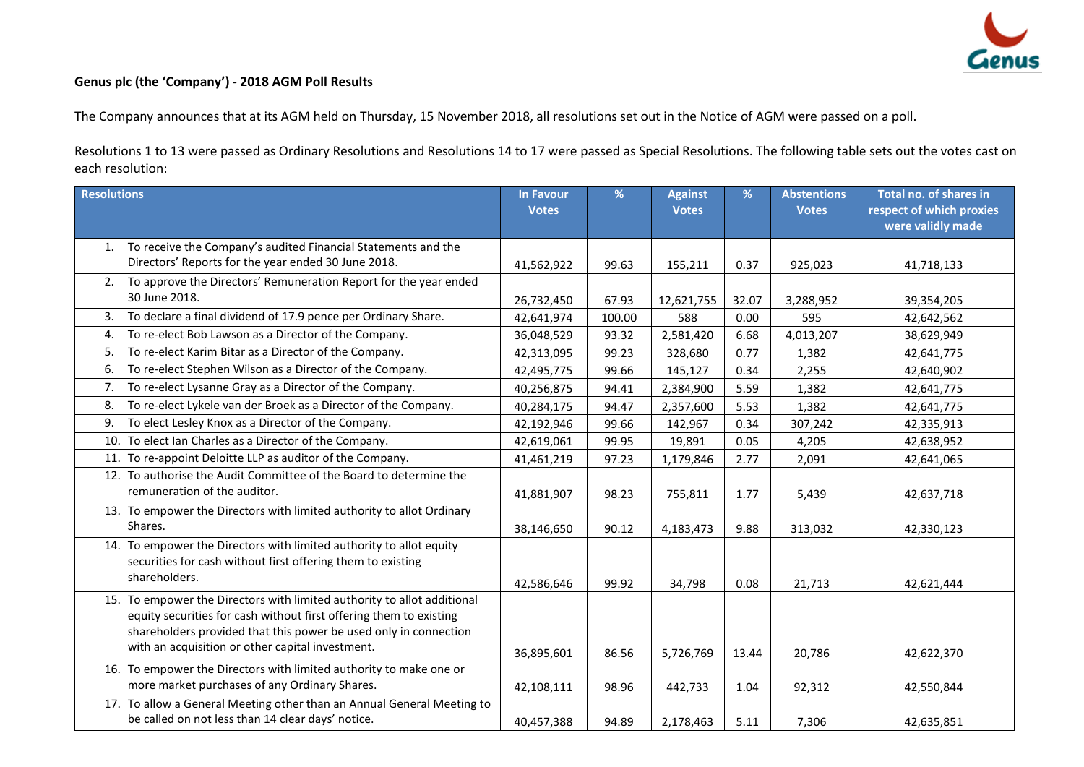

## **Genus plc (the 'Company') - 2018 AGM Poll Results**

The Company announces that at its AGM held on Thursday, 15 November 2018, all resolutions set out in the Notice of AGM were passed on a poll.

Resolutions 1 to 13 were passed as Ordinary Resolutions and Resolutions 14 to 17 were passed as Special Resolutions. The following table sets out the votes cast on each resolution:

| <b>Resolutions</b>                                                      | <b>In Favour</b><br><b>Votes</b> | %      | <b>Against</b><br><b>Votes</b> | %     | <b>Abstentions</b><br><b>Votes</b> | Total no. of shares in<br>respect of which proxies |
|-------------------------------------------------------------------------|----------------------------------|--------|--------------------------------|-------|------------------------------------|----------------------------------------------------|
|                                                                         |                                  |        |                                |       |                                    | were validly made                                  |
| To receive the Company's audited Financial Statements and the<br>1.     |                                  |        |                                |       |                                    |                                                    |
| Directors' Reports for the year ended 30 June 2018.                     | 41,562,922                       | 99.63  | 155,211                        | 0.37  | 925,023                            | 41,718,133                                         |
| To approve the Directors' Remuneration Report for the year ended<br>2.  |                                  |        |                                |       |                                    |                                                    |
| 30 June 2018.                                                           | 26,732,450                       | 67.93  | 12,621,755                     | 32.07 | 3,288,952                          | 39,354,205                                         |
| To declare a final dividend of 17.9 pence per Ordinary Share.<br>3.     | 42,641,974                       | 100.00 | 588                            | 0.00  | 595                                | 42,642,562                                         |
| To re-elect Bob Lawson as a Director of the Company.<br>4.              | 36,048,529                       | 93.32  | 2,581,420                      | 6.68  | 4,013,207                          | 38,629,949                                         |
| To re-elect Karim Bitar as a Director of the Company.<br>5.             | 42,313,095                       | 99.23  | 328,680                        | 0.77  | 1,382                              | 42,641,775                                         |
| To re-elect Stephen Wilson as a Director of the Company.<br>6.          | 42,495,775                       | 99.66  | 145,127                        | 0.34  | 2,255                              | 42,640,902                                         |
| To re-elect Lysanne Gray as a Director of the Company.<br>7.            | 40,256,875                       | 94.41  | 2,384,900                      | 5.59  | 1,382                              | 42,641,775                                         |
| To re-elect Lykele van der Broek as a Director of the Company.<br>8.    | 40,284,175                       | 94.47  | 2,357,600                      | 5.53  | 1,382                              | 42,641,775                                         |
| To elect Lesley Knox as a Director of the Company.<br>9.                | 42,192,946                       | 99.66  | 142,967                        | 0.34  | 307,242                            | 42,335,913                                         |
| 10. To elect Ian Charles as a Director of the Company.                  | 42,619,061                       | 99.95  | 19,891                         | 0.05  | 4,205                              | 42,638,952                                         |
| 11. To re-appoint Deloitte LLP as auditor of the Company.               | 41,461,219                       | 97.23  | 1,179,846                      | 2.77  | 2,091                              | 42,641,065                                         |
| 12. To authorise the Audit Committee of the Board to determine the      |                                  |        |                                |       |                                    |                                                    |
| remuneration of the auditor.                                            | 41,881,907                       | 98.23  | 755,811                        | 1.77  | 5,439                              | 42,637,718                                         |
| 13. To empower the Directors with limited authority to allot Ordinary   |                                  |        |                                |       |                                    |                                                    |
| Shares.                                                                 | 38,146,650                       | 90.12  | 4,183,473                      | 9.88  | 313,032                            | 42,330,123                                         |
| 14. To empower the Directors with limited authority to allot equity     |                                  |        |                                |       |                                    |                                                    |
| securities for cash without first offering them to existing             |                                  |        |                                |       |                                    |                                                    |
| shareholders.                                                           | 42,586,646                       | 99.92  | 34,798                         | 0.08  | 21,713                             | 42,621,444                                         |
| 15. To empower the Directors with limited authority to allot additional |                                  |        |                                |       |                                    |                                                    |
| equity securities for cash without first offering them to existing      |                                  |        |                                |       |                                    |                                                    |
| shareholders provided that this power be used only in connection        |                                  |        |                                |       |                                    |                                                    |
| with an acquisition or other capital investment.                        | 36,895,601                       | 86.56  | 5,726,769                      | 13.44 | 20,786                             | 42,622,370                                         |
| 16. To empower the Directors with limited authority to make one or      |                                  |        |                                |       |                                    |                                                    |
| more market purchases of any Ordinary Shares.                           | 42,108,111                       | 98.96  | 442,733                        | 1.04  | 92,312                             | 42,550,844                                         |
| 17. To allow a General Meeting other than an Annual General Meeting to  |                                  |        |                                |       |                                    |                                                    |
| be called on not less than 14 clear days' notice.                       | 40,457,388                       | 94.89  | 2,178,463                      | 5.11  | 7,306                              | 42,635,851                                         |